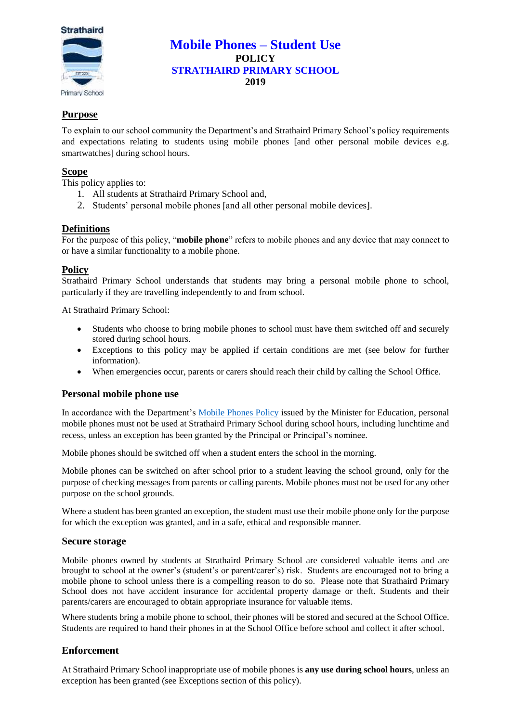

# **Mobile Phones – Student Use POLICY STRATHAIRD PRIMARY SCHOOL 2019**

## **Purpose**

To explain to our school community the Department's and Strathaird Primary School's policy requirements and expectations relating to students using mobile phones [and other personal mobile devices e.g. smartwatches] during school hours.

## **Scope**

This policy applies to:

- 1. All students at Strathaird Primary School and,
- 2. Students' personal mobile phones [and all other personal mobile devices].

### **Definitions**

For the purpose of this policy, "**mobile phone**" refers to mobile phones and any device that may connect to or have a similar functionality to a mobile phone.

### **Policy**

Strathaird Primary School understands that students may bring a personal mobile phone to school, particularly if they are travelling independently to and from school.

At Strathaird Primary School:

- Students who choose to bring mobile phones to school must have them switched off and securely stored during school hours.
- Exceptions to this policy may be applied if certain conditions are met (see below for further information).
- When emergencies occur, parents or carers should reach their child by calling the School Office.

### **Personal mobile phone use**

In accordance with the Department's [Mobile Phones Policy](https://www.education.vic.gov.au/school/principals/spag/safety/Pages/mobilephones.aspx) issued by the Minister for Education, personal mobile phones must not be used at Strathaird Primary School during school hours, including lunchtime and recess, unless an exception has been granted by the Principal or Principal's nominee.

Mobile phones should be switched off when a student enters the school in the morning.

Mobile phones can be switched on after school prior to a student leaving the school ground, only for the purpose of checking messages from parents or calling parents. Mobile phones must not be used for any other purpose on the school grounds.

Where a student has been granted an exception, the student must use their mobile phone only for the purpose for which the exception was granted, and in a safe, ethical and responsible manner.

### **Secure storage**

Mobile phones owned by students at Strathaird Primary School are considered valuable items and are brought to school at the owner's (student's or parent/carer's) risk. Students are encouraged not to bring a mobile phone to school unless there is a compelling reason to do so. Please note that Strathaird Primary School does not have accident insurance for accidental property damage or theft. Students and their parents/carers are encouraged to obtain appropriate insurance for valuable items.

Where students bring a mobile phone to school, their phones will be stored and secured at the School Office. Students are required to hand their phones in at the School Office before school and collect it after school.

## **Enforcement**

At Strathaird Primary School inappropriate use of mobile phones is **any use during school hours**, unless an exception has been granted (see Exceptions section of this policy).